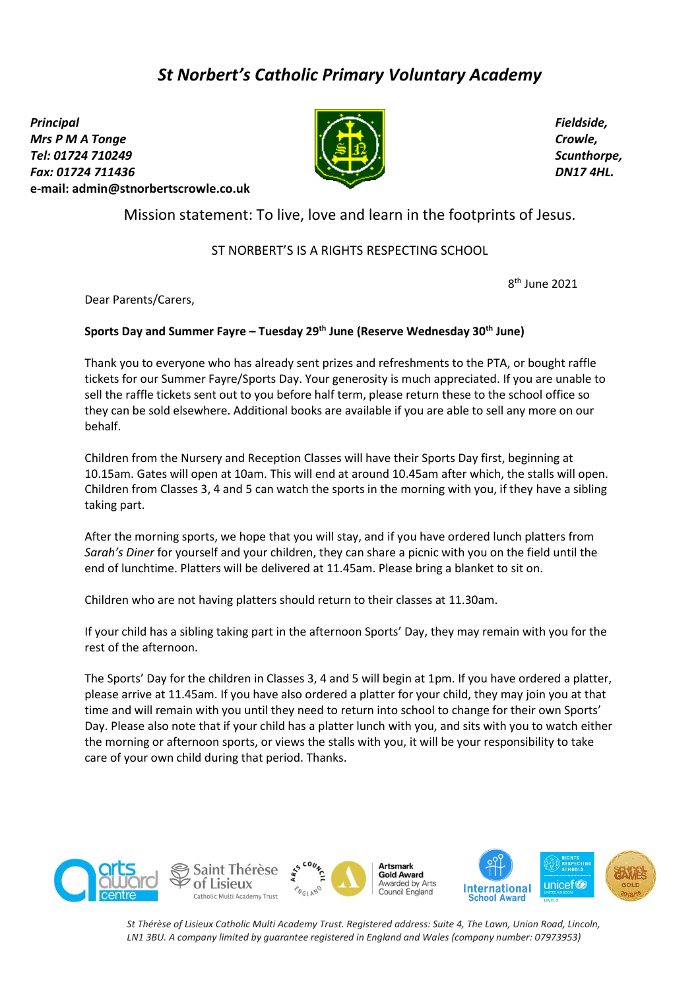# *St Norbert's Catholic Primary Voluntary Academy*

*Principal Mrs P M A Tonge Tel: 01724 710249 Fax: 01724 711436*  **e-mail: [admin@stnorbertscrowle.co.uk](mailto:admin@stnorbertscrowle.co.uk)**



*Fieldside, Crowle, Scunthorpe, DN17 4HL.*

Mission statement: To live, love and learn in the footprints of Jesus.

# ST NORBERT'S IS A RIGHTS RESPECTING SCHOOL

8 th June 2021

Dear Parents/Carers,

## **Sports Day and Summer Fayre – Tuesday 29th June (Reserve Wednesday 30th June)**

Thank you to everyone who has already sent prizes and refreshments to the PTA, or bought raffle tickets for our Summer Fayre/Sports Day. Your generosity is much appreciated. If you are unable to sell the raffle tickets sent out to you before half term, please return these to the school office so they can be sold elsewhere. Additional books are available if you are able to sell any more on our behalf.

Children from the Nursery and Reception Classes will have their Sports Day first, beginning at 10.15am. Gates will open at 10am. This will end at around 10.45am after which, the stalls will open. Children from Classes 3, 4 and 5 can watch the sports in the morning with you, if they have a sibling taking part.

After the morning sports, we hope that you will stay, and if you have ordered lunch platters from *Sarah's Diner* for yourself and your children, they can share a picnic with you on the field until the end of lunchtime. Platters will be delivered at 11.45am. Please bring a blanket to sit on.

Children who are not having platters should return to their classes at 11.30am.

If your child has a sibling taking part in the afternoon Sports' Day, they may remain with you for the rest of the afternoon.

The Sports' Day for the children in Classes 3, 4 and 5 will begin at 1pm. If you have ordered a platter, please arrive at 11.45am. If you have also ordered a platter for your child, they may join you at that time and will remain with you until they need to return into school to change for their own Sports' Day. Please also note that if your child has a platter lunch with you, and sits with you to watch either the morning or afternoon sports, or views the stalls with you, it will be your responsibility to take care of your own child during that period. Thanks.



*St Thérèse of Lisieux Catholic Multi Academy Trust. Registered address: Suite 4, The Lawn, Union Road, Lincoln, LN1 3BU. A company limited by guarantee registered in England and Wales (company number: 07973953)*